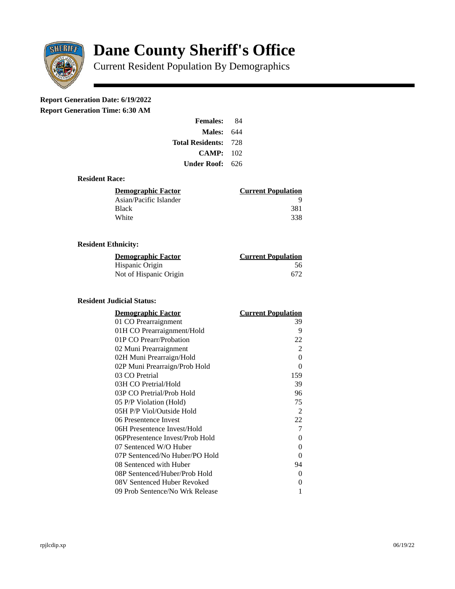

# **Dane County Sheriff's Office**

Current Resident Population By Demographics

# **Report Generation Date: 6/19/2022**

**Report Generation Time: 6:30 AM** 

| <b>Females:</b>         | 84    |
|-------------------------|-------|
| <b>Males: 644</b>       |       |
| <b>Total Residents:</b> | - 728 |
| CAMP:                   | 102   |
| Under Roof: 626         |       |

### **Resident Race:**

| <b>Current Population</b> |
|---------------------------|
| ч                         |
| 381                       |
| 338                       |
|                           |

### **Resident Ethnicity:**

| <u> Demographic Factor</u> | <b>Current Population</b> |
|----------------------------|---------------------------|
| Hispanic Origin            | 56                        |
| Not of Hispanic Origin     | 672                       |

#### **Resident Judicial Status:**

| <b>Demographic Factor</b>       | <u> Current Population</u> |
|---------------------------------|----------------------------|
| 01 CO Prearraignment            | 39                         |
| 01H CO Prearraignment/Hold      | 9                          |
| 01P CO Prearr/Probation         | 22                         |
| 02 Muni Prearraignment          | 2                          |
| 02H Muni Prearraign/Hold        | 0                          |
| 02P Muni Prearraign/Prob Hold   | 0                          |
| 03 CO Pretrial                  | 159                        |
| 03H CO Pretrial/Hold            | 39                         |
| 03P CO Pretrial/Prob Hold       | 96                         |
| 05 P/P Violation (Hold)         | 75                         |
| 05H P/P Viol/Outside Hold       | 2                          |
| 06 Presentence Invest           | 22                         |
| 06H Presentence Invest/Hold     | 7                          |
| 06PPresentence Invest/Prob Hold | 0                          |
| 07 Sentenced W/O Huber          | 0                          |
| 07P Sentenced/No Huber/PO Hold  | 0                          |
| 08 Sentenced with Huber         | 94                         |
| 08P Sentenced/Huber/Prob Hold   | 0                          |
| 08V Sentenced Huber Revoked     | 0                          |
| 09 Prob Sentence/No Wrk Release | 1                          |